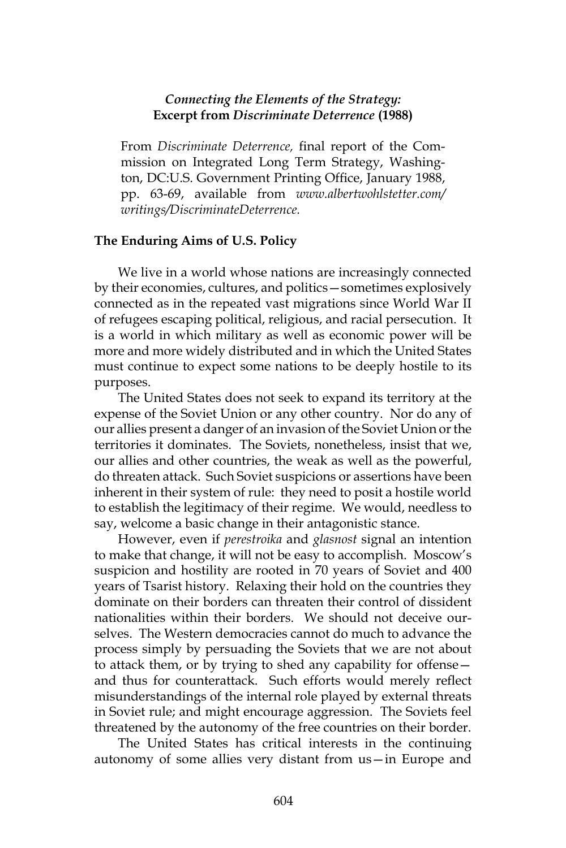## *Connecting the Elements of the Strategy:* **Excerpt from** *Discriminate Deterrence* **(1988)**

From *Discriminate Deterrence,* final report of the Commission on Integrated Long Term Strategy, Washington, DC:U.S. Government Printing Office, January 1988, pp. 63-69, available from *www.albertwohlstetter.com/ writings/DiscriminateDeterrence.*

#### **The Enduring Aims of U.S. Policy**

We live in a world whose nations are increasingly connected by their economies, cultures, and politics—sometimes explosively connected as in the repeated vast migrations since World War II of refugees escaping political, religious, and racial persecution. It is a world in which military as well as economic power will be more and more widely distributed and in which the United States must continue to expect some nations to be deeply hostile to its purposes.

The United States does not seek to expand its territory at the expense of the Soviet Union or any other country. Nor do any of our allies present a danger of an invasion of the Soviet Union or the territories it dominates. The Soviets, nonetheless, insist that we, our allies and other countries, the weak as well as the powerful, do threaten attack. Such Soviet suspicions or assertions have been inherent in their system of rule: they need to posit a hostile world to establish the legitimacy of their regime. We would, needless to say, welcome a basic change in their antagonistic stance.

However, even if *perestroika* and *glasnost* signal an intention to make that change, it will not be easy to accomplish. Moscow's suspicion and hostility are rooted in 70 years of Soviet and 400 years of Tsarist history. Relaxing their hold on the countries they dominate on their borders can threaten their control of dissident nationalities within their borders. We should not deceive ourselves. The Western democracies cannot do much to advance the process simply by persuading the Soviets that we are not about to attack them, or by trying to shed any capability for offense and thus for counterattack. Such efforts would merely reflect misunderstandings of the internal role played by external threats in Soviet rule; and might encourage aggression. The Soviets feel threatened by the autonomy of the free countries on their border.

The United States has critical interests in the continuing autonomy of some allies very distant from us—in Europe and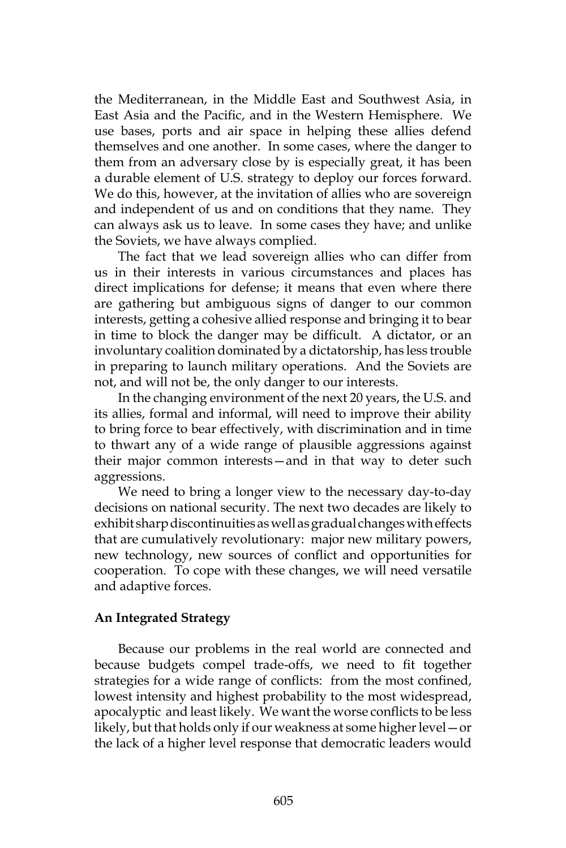the Mediterranean, in the Middle East and Southwest Asia, in East Asia and the Pacific, and in the Western Hemisphere. We use bases, ports and air space in helping these allies defend themselves and one another. In some cases, where the danger to them from an adversary close by is especially great, it has been a durable element of U.S. strategy to deploy our forces forward. We do this, however, at the invitation of allies who are sovereign and independent of us and on conditions that they name. They can always ask us to leave. In some cases they have; and unlike the Soviets, we have always complied.

The fact that we lead sovereign allies who can differ from us in their interests in various circumstances and places has direct implications for defense; it means that even where there are gathering but ambiguous signs of danger to our common interests, getting a cohesive allied response and bringing it to bear in time to block the danger may be difficult. A dictator, or an involuntary coalition dominated by a dictatorship, has less trouble in preparing to launch military operations. And the Soviets are not, and will not be, the only danger to our interests.

In the changing environment of the next 20 years, the U.S. and its allies, formal and informal, will need to improve their ability to bring force to bear effectively, with discrimination and in time to thwart any of a wide range of plausible aggressions against their major common interests—and in that way to deter such aggressions.

We need to bring a longer view to the necessary day-to-day decisions on national security. The next two decades are likely to exhibit sharp discontinuities as well as gradual changes with effects that are cumulatively revolutionary: major new military powers, new technology, new sources of conflict and opportunities for cooperation. To cope with these changes, we will need versatile and adaptive forces.

# **An Integrated Strategy**

Because our problems in the real world are connected and because budgets compel trade-offs, we need to fit together strategies for a wide range of conflicts: from the most confined, lowest intensity and highest probability to the most widespread, apocalyptic and least likely. We want the worse conflicts to be less likely, but that holds only if our weakness at some higher level—or the lack of a higher level response that democratic leaders would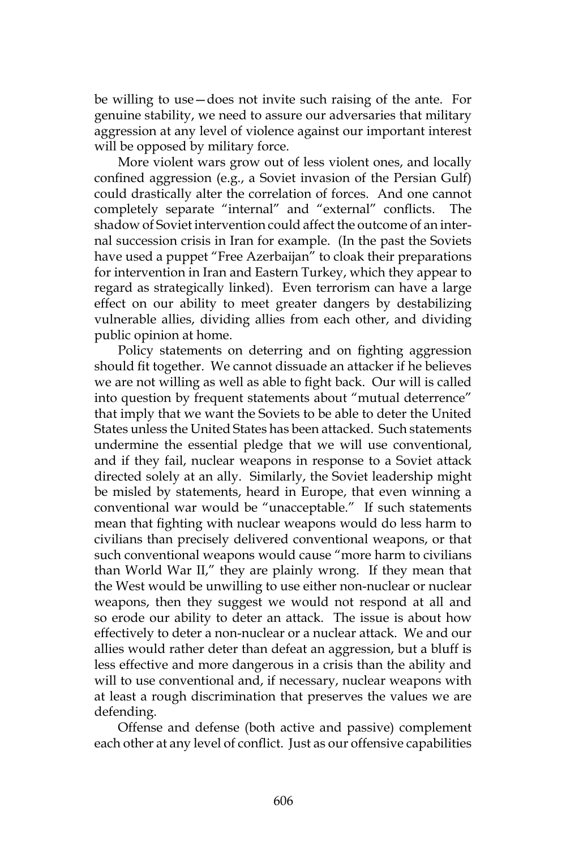be willing to use—does not invite such raising of the ante. For genuine stability, we need to assure our adversaries that military aggression at any level of violence against our important interest will be opposed by military force.

More violent wars grow out of less violent ones, and locally confined aggression (e.g., a Soviet invasion of the Persian Gulf) could drastically alter the correlation of forces. And one cannot completely separate "internal" and "external" conflicts. The shadow of Soviet intervention could affect the outcome of an internal succession crisis in Iran for example. (In the past the Soviets have used a puppet "Free Azerbaijan" to cloak their preparations for intervention in Iran and Eastern Turkey, which they appear to regard as strategically linked). Even terrorism can have a large effect on our ability to meet greater dangers by destabilizing vulnerable allies, dividing allies from each other, and dividing public opinion at home.

Policy statements on deterring and on fighting aggression should fit together. We cannot dissuade an attacker if he believes we are not willing as well as able to fight back. Our will is called into question by frequent statements about "mutual deterrence" that imply that we want the Soviets to be able to deter the United States unless the United States has been attacked. Such statements undermine the essential pledge that we will use conventional, and if they fail, nuclear weapons in response to a Soviet attack directed solely at an ally. Similarly, the Soviet leadership might be misled by statements, heard in Europe, that even winning a conventional war would be "unacceptable." If such statements mean that fighting with nuclear weapons would do less harm to civilians than precisely delivered conventional weapons, or that such conventional weapons would cause "more harm to civilians than World War II," they are plainly wrong. If they mean that the West would be unwilling to use either non-nuclear or nuclear weapons, then they suggest we would not respond at all and so erode our ability to deter an attack. The issue is about how effectively to deter a non-nuclear or a nuclear attack. We and our allies would rather deter than defeat an aggression, but a bluff is less effective and more dangerous in a crisis than the ability and will to use conventional and, if necessary, nuclear weapons with at least a rough discrimination that preserves the values we are defending.

Offense and defense (both active and passive) complement each other at any level of conflict. Just as our offensive capabilities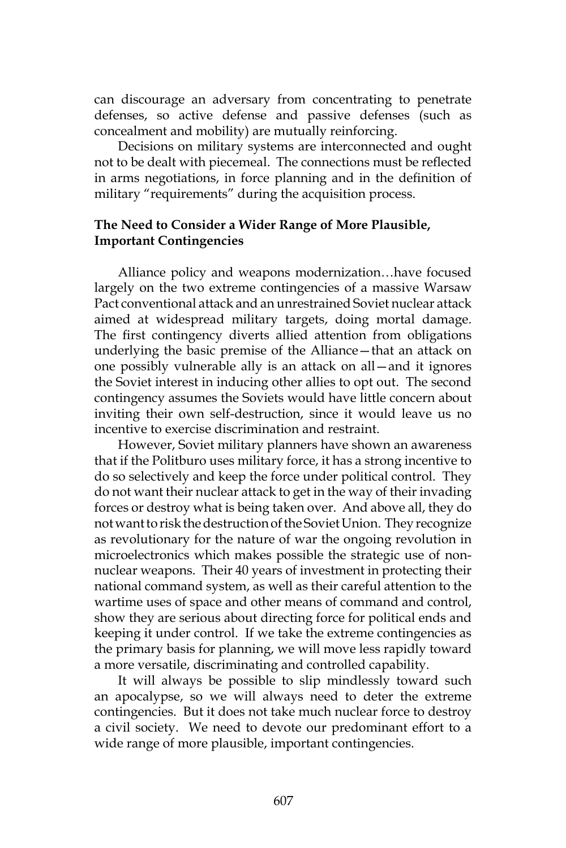can discourage an adversary from concentrating to penetrate defenses, so active defense and passive defenses (such as concealment and mobility) are mutually reinforcing.

Decisions on military systems are interconnected and ought not to be dealt with piecemeal. The connections must be reflected in arms negotiations, in force planning and in the definition of military "requirements" during the acquisition process.

# **The Need to Consider a Wider Range of More Plausible, Important Contingencies**

Alliance policy and weapons modernization…have focused largely on the two extreme contingencies of a massive Warsaw Pact conventional attack and an unrestrained Soviet nuclear attack aimed at widespread military targets, doing mortal damage. The first contingency diverts allied attention from obligations underlying the basic premise of the Alliance—that an attack on one possibly vulnerable ally is an attack on all—and it ignores the Soviet interest in inducing other allies to opt out. The second contingency assumes the Soviets would have little concern about inviting their own self-destruction, since it would leave us no incentive to exercise discrimination and restraint.

However, Soviet military planners have shown an awareness that if the Politburo uses military force, it has a strong incentive to do so selectively and keep the force under political control. They do not want their nuclear attack to get in the way of their invading forces or destroy what is being taken over. And above all, they do not want to risk the destruction of the Soviet Union. They recognize as revolutionary for the nature of war the ongoing revolution in microelectronics which makes possible the strategic use of nonnuclear weapons. Their 40 years of investment in protecting their national command system, as well as their careful attention to the wartime uses of space and other means of command and control, show they are serious about directing force for political ends and keeping it under control. If we take the extreme contingencies as the primary basis for planning, we will move less rapidly toward a more versatile, discriminating and controlled capability.

It will always be possible to slip mindlessly toward such an apocalypse, so we will always need to deter the extreme contingencies. But it does not take much nuclear force to destroy a civil society. We need to devote our predominant effort to a wide range of more plausible, important contingencies.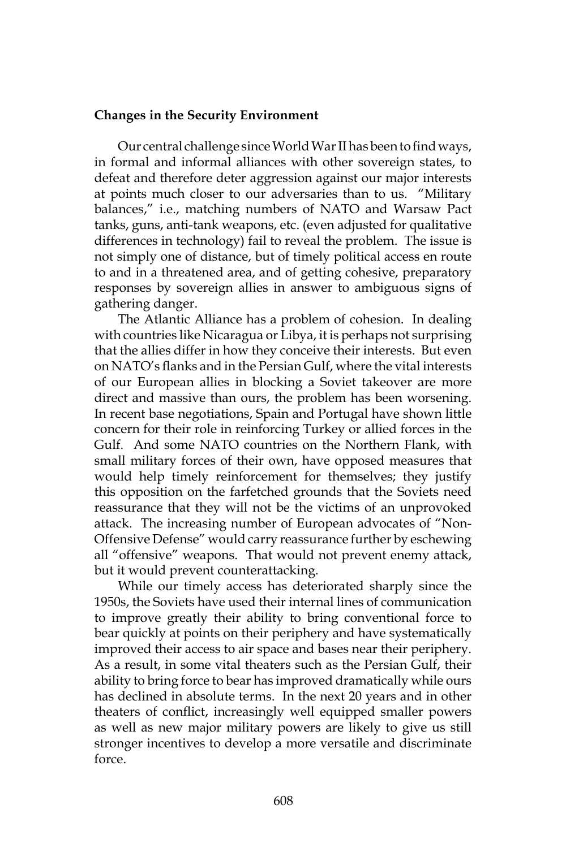#### **Changes in the Security Environment**

Our central challenge since World War II has been to find ways, in formal and informal alliances with other sovereign states, to defeat and therefore deter aggression against our major interests at points much closer to our adversaries than to us. "Military balances," i.e., matching numbers of NATO and Warsaw Pact tanks, guns, anti-tank weapons, etc. (even adjusted for qualitative differences in technology) fail to reveal the problem. The issue is not simply one of distance, but of timely political access en route to and in a threatened area, and of getting cohesive, preparatory responses by sovereign allies in answer to ambiguous signs of gathering danger.

The Atlantic Alliance has a problem of cohesion. In dealing with countries like Nicaragua or Libya, it is perhaps not surprising that the allies differ in how they conceive their interests. But even on NATO's flanks and in the Persian Gulf, where the vital interests of our European allies in blocking a Soviet takeover are more direct and massive than ours, the problem has been worsening. In recent base negotiations, Spain and Portugal have shown little concern for their role in reinforcing Turkey or allied forces in the Gulf. And some NATO countries on the Northern Flank, with small military forces of their own, have opposed measures that would help timely reinforcement for themselves; they justify this opposition on the farfetched grounds that the Soviets need reassurance that they will not be the victims of an unprovoked attack. The increasing number of European advocates of "Non-Offensive Defense" would carry reassurance further by eschewing all "offensive" weapons. That would not prevent enemy attack, but it would prevent counterattacking.

While our timely access has deteriorated sharply since the 1950s, the Soviets have used their internal lines of communication to improve greatly their ability to bring conventional force to bear quickly at points on their periphery and have systematically improved their access to air space and bases near their periphery. As a result, in some vital theaters such as the Persian Gulf, their ability to bring force to bear has improved dramatically while ours has declined in absolute terms. In the next 20 years and in other theaters of conflict, increasingly well equipped smaller powers as well as new major military powers are likely to give us still stronger incentives to develop a more versatile and discriminate force.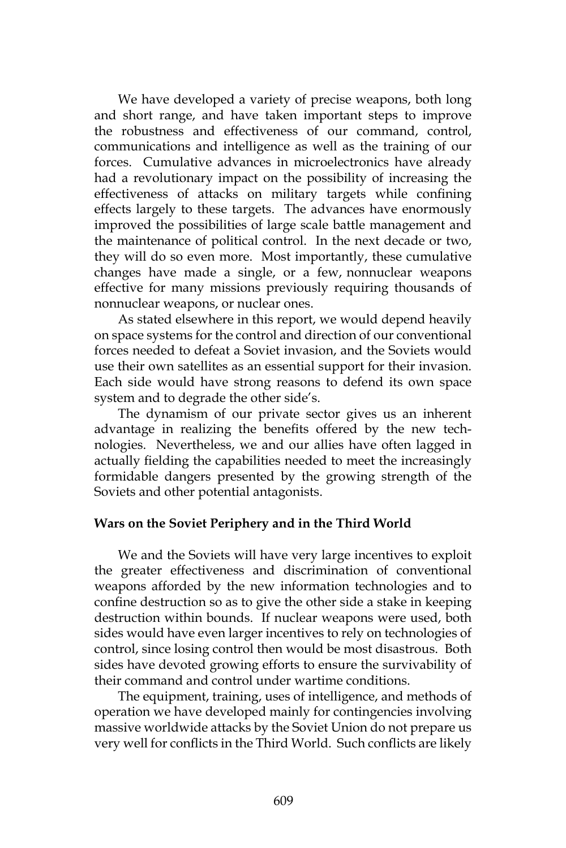We have developed a variety of precise weapons, both long and short range, and have taken important steps to improve the robustness and effectiveness of our command, control, communications and intelligence as well as the training of our forces. Cumulative advances in microelectronics have already had a revolutionary impact on the possibility of increasing the effectiveness of attacks on military targets while confining effects largely to these targets. The advances have enormously improved the possibilities of large scale battle management and the maintenance of political control. In the next decade or two, they will do so even more. Most importantly, these cumulative changes have made a single, or a few, nonnuclear weapons effective for many missions previously requiring thousands of nonnuclear weapons, or nuclear ones.

As stated elsewhere in this report, we would depend heavily on space systems for the control and direction of our conventional forces needed to defeat a Soviet invasion, and the Soviets would use their own satellites as an essential support for their invasion. Each side would have strong reasons to defend its own space system and to degrade the other side's.

The dynamism of our private sector gives us an inherent advantage in realizing the benefits offered by the new technologies. Nevertheless, we and our allies have often lagged in actually fielding the capabilities needed to meet the increasingly formidable dangers presented by the growing strength of the Soviets and other potential antagonists.

### **Wars on the Soviet Periphery and in the Third World**

We and the Soviets will have very large incentives to exploit the greater effectiveness and discrimination of conventional weapons afforded by the new information technologies and to confine destruction so as to give the other side a stake in keeping destruction within bounds. If nuclear weapons were used, both sides would have even larger incentives to rely on technologies of control, since losing control then would be most disastrous. Both sides have devoted growing efforts to ensure the survivability of their command and control under wartime conditions.

The equipment, training, uses of intelligence, and methods of operation we have developed mainly for contingencies involving massive worldwide attacks by the Soviet Union do not prepare us very well for conflicts in the Third World. Such conflicts are likely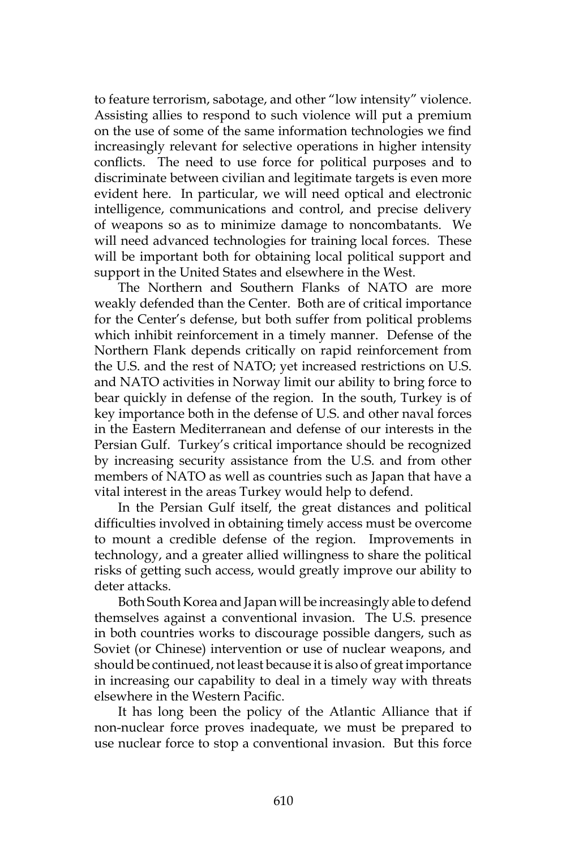to feature terrorism, sabotage, and other "low intensity" violence. Assisting allies to respond to such violence will put a premium on the use of some of the same information technologies we find increasingly relevant for selective operations in higher intensity conflicts. The need to use force for political purposes and to discriminate between civilian and legitimate targets is even more evident here. In particular, we will need optical and electronic intelligence, communications and control, and precise delivery of weapons so as to minimize damage to noncombatants. We will need advanced technologies for training local forces. These will be important both for obtaining local political support and support in the United States and elsewhere in the West.

The Northern and Southern Flanks of NATO are more weakly defended than the Center. Both are of critical importance for the Center's defense, but both suffer from political problems which inhibit reinforcement in a timely manner. Defense of the Northern Flank depends critically on rapid reinforcement from the U.S. and the rest of NATO; yet increased restrictions on U.S. and NATO activities in Norway limit our ability to bring force to bear quickly in defense of the region. In the south, Turkey is of key importance both in the defense of U.S. and other naval forces in the Eastern Mediterranean and defense of our interests in the Persian Gulf. Turkey's critical importance should be recognized by increasing security assistance from the U.S. and from other members of NATO as well as countries such as Japan that have a vital interest in the areas Turkey would help to defend.

In the Persian Gulf itself, the great distances and political difficulties involved in obtaining timely access must be overcome to mount a credible defense of the region. Improvements in technology, and a greater allied willingness to share the political risks of getting such access, would greatly improve our ability to deter attacks.

Both South Korea and Japan will be increasingly able to defend themselves against a conventional invasion. The U.S. presence in both countries works to discourage possible dangers, such as Soviet (or Chinese) intervention or use of nuclear weapons, and should be continued, not least because it is also of great importance in increasing our capability to deal in a timely way with threats elsewhere in the Western Pacific.

It has long been the policy of the Atlantic Alliance that if non-nuclear force proves inadequate, we must be prepared to use nuclear force to stop a conventional invasion. But this force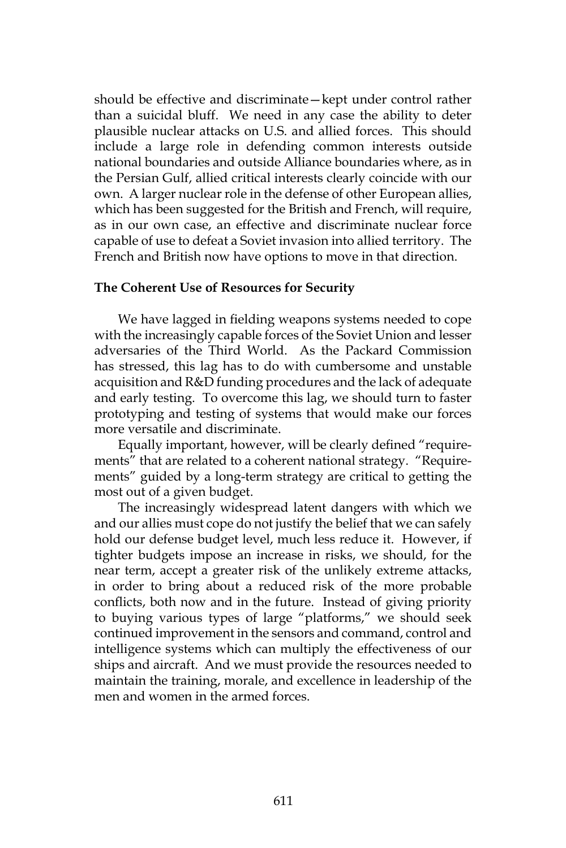should be effective and discriminate—kept under control rather than a suicidal bluff. We need in any case the ability to deter plausible nuclear attacks on U.S. and allied forces. This should include a large role in defending common interests outside national boundaries and outside Alliance boundaries where, as in the Persian Gulf, allied critical interests clearly coincide with our own. A larger nuclear role in the defense of other European allies, which has been suggested for the British and French, will require, as in our own case, an effective and discriminate nuclear force capable of use to defeat a Soviet invasion into allied territory. The French and British now have options to move in that direction.

### **The Coherent Use of Resources for Security**

We have lagged in fielding weapons systems needed to cope with the increasingly capable forces of the Soviet Union and lesser adversaries of the Third World. As the Packard Commission has stressed, this lag has to do with cumbersome and unstable acquisition and R&D funding procedures and the lack of adequate and early testing. To overcome this lag, we should turn to faster prototyping and testing of systems that would make our forces more versatile and discriminate.

Equally important, however, will be clearly defined "requirements" that are related to a coherent national strategy. "Requirements" guided by a long-term strategy are critical to getting the most out of a given budget.

The increasingly widespread latent dangers with which we and our allies must cope do not justify the belief that we can safely hold our defense budget level, much less reduce it. However, if tighter budgets impose an increase in risks, we should, for the near term, accept a greater risk of the unlikely extreme attacks, in order to bring about a reduced risk of the more probable conflicts, both now and in the future. Instead of giving priority to buying various types of large "platforms," we should seek continued improvement in the sensors and command, control and intelligence systems which can multiply the effectiveness of our ships and aircraft. And we must provide the resources needed to maintain the training, morale, and excellence in leadership of the men and women in the armed forces.